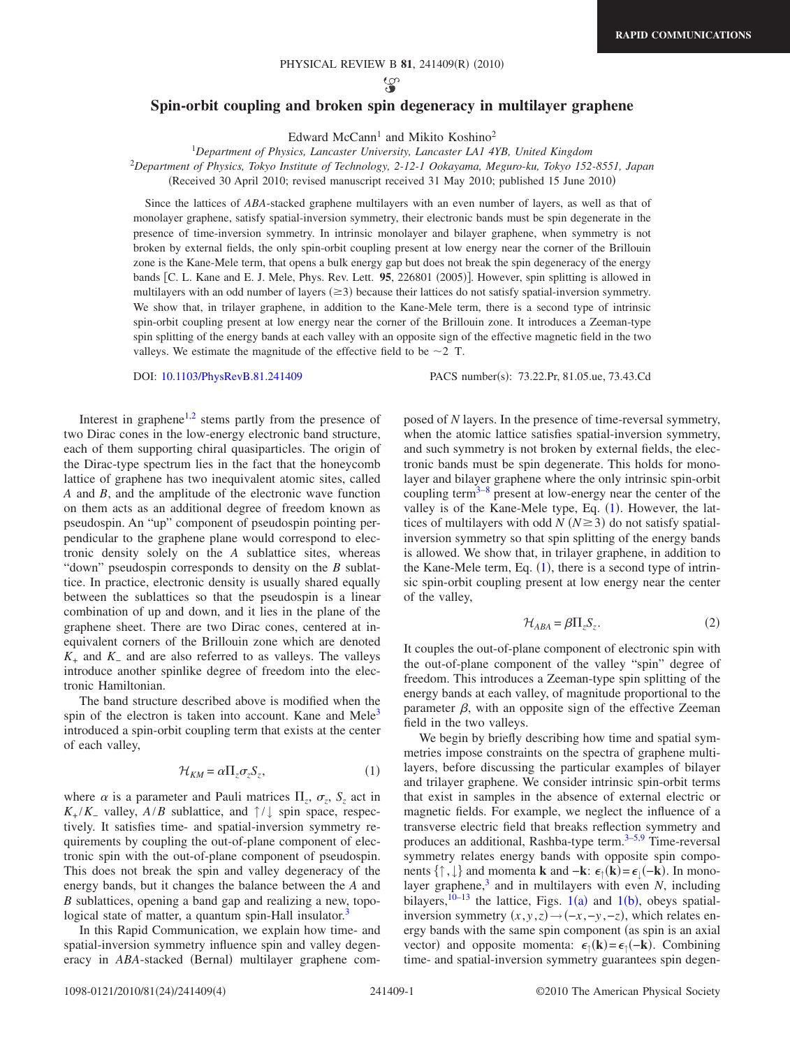ပ္သာ

## **Spin-orbit coupling and broken spin degeneracy in multilayer graphene**

Edward McCann<sup>1</sup> and Mikito Koshino<sup>2</sup>

1 *Department of Physics, Lancaster University, Lancaster LA1 4YB, United Kingdom* <sup>2</sup>*Department of Physics, Tokyo Institute of Technology, 2-12-1 Ookayama, Meguro-ku, Tokyo 152-8551, Japan* (Received 30 April 2010; revised manuscript received 31 May 2010; published 15 June 2010)

Since the lattices of *ABA*-stacked graphene multilayers with an even number of layers, as well as that of monolayer graphene, satisfy spatial-inversion symmetry, their electronic bands must be spin degenerate in the presence of time-inversion symmetry. In intrinsic monolayer and bilayer graphene, when symmetry is not broken by external fields, the only spin-orbit coupling present at low energy near the corner of the Brillouin zone is the Kane-Mele term, that opens a bulk energy gap but does not break the spin degeneracy of the energy bands [C. L. Kane and E. J. Mele, Phys. Rev. Lett. **95**, 226801 (2005)]. However, spin splitting is allowed in multilayers with an odd number of layers  $(\geq 3)$  because their lattices do not satisfy spatial-inversion symmetry. We show that, in trilayer graphene, in addition to the Kane-Mele term, there is a second type of intrinsic spin-orbit coupling present at low energy near the corner of the Brillouin zone. It introduces a Zeeman-type spin splitting of the energy bands at each valley with an opposite sign of the effective magnetic field in the two valleys. We estimate the magnitude of the effective field to be  $\sim$  2 T.

DOI: [10.1103/PhysRevB.81.241409](http://dx.doi.org/10.1103/PhysRevB.81.241409)

Interest in graphene $1,2$  $1,2$  stems partly from the presence of two Dirac cones in the low-energy electronic band structure, each of them supporting chiral quasiparticles. The origin of the Dirac-type spectrum lies in the fact that the honeycomb lattice of graphene has two inequivalent atomic sites, called *A* and *B*, and the amplitude of the electronic wave function on them acts as an additional degree of freedom known as pseudospin. An "up" component of pseudospin pointing perpendicular to the graphene plane would correspond to electronic density solely on the *A* sublattice sites, whereas "down" pseudospin corresponds to density on the *B* sublattice. In practice, electronic density is usually shared equally between the sublattices so that the pseudospin is a linear combination of up and down, and it lies in the plane of the graphene sheet. There are two Dirac cones, centered at inequivalent corners of the Brillouin zone which are denoted *K*<sup>+</sup> and *K*<sup>−</sup> and are also referred to as valleys. The valleys introduce another spinlike degree of freedom into the electronic Hamiltonian.

The band structure described above is modified when the spin of the electron is taken into account. Kane and Mele<sup>3</sup> introduced a spin-orbit coupling term that exists at the center of each valley,

$$
\mathcal{H}_{KM} = \alpha \Pi_z \sigma_z S_z,\tag{1}
$$

<span id="page-0-0"></span>where  $\alpha$  is a parameter and Pauli matrices  $\Pi_z$ ,  $\sigma_z$ ,  $S_z$  act in  $K_{+}/K_{-}$  valley,  $A/B$  sublattice, and  $\uparrow/\downarrow$  spin space, respectively. It satisfies time- and spatial-inversion symmetry requirements by coupling the out-of-plane component of electronic spin with the out-of-plane component of pseudospin. This does not break the spin and valley degeneracy of the energy bands, but it changes the balance between the *A* and *B* sublattices, opening a band gap and realizing a new, topological state of matter, a quantum spin-Hall insulator.<sup>3</sup>

In this Rapid Communication, we explain how time- and spatial-inversion symmetry influence spin and valley degeneracy in ABA-stacked (Bernal) multilayer graphene comPACS number(s): 73.22.Pr, 81.05.ue, 73.43.Cd

posed of *N* layers. In the presence of time-reversal symmetry, when the atomic lattice satisfies spatial-inversion symmetry, and such symmetry is not broken by external fields, the electronic bands must be spin degenerate. This holds for monolayer and bilayer graphene where the only intrinsic spin-orbit coupling term $3-8$  present at low-energy near the center of the valley is of the Kane-Mele type, Eq. ([1](#page-0-0)). However, the lattices of multilayers with odd  $N (N \ge 3)$  do not satisfy spatialinversion symmetry so that spin splitting of the energy bands is allowed. We show that, in trilayer graphene, in addition to the Kane-Mele term, Eq.  $(1)$  $(1)$  $(1)$ , there is a second type of intrinsic spin-orbit coupling present at low energy near the center of the valley,

$$
\mathcal{H}_{ABA} = \beta \Pi_z S_z. \tag{2}
$$

It couples the out-of-plane component of electronic spin with the out-of-plane component of the valley "spin" degree of freedom. This introduces a Zeeman-type spin splitting of the energy bands at each valley, of magnitude proportional to the parameter  $\beta$ , with an opposite sign of the effective Zeeman field in the two valleys.

We begin by briefly describing how time and spatial symmetries impose constraints on the spectra of graphene multilayers, before discussing the particular examples of bilayer and trilayer graphene. We consider intrinsic spin-orbit terms that exist in samples in the absence of external electric or magnetic fields. For example, we neglect the influence of a transverse electric field that breaks reflection symmetry and produces an additional, Rashba-type term.<sup>3–[5,](#page-3-4)[9](#page-3-5)</sup> Time-reversal symmetry relates energy bands with opposite spin components  $\{\uparrow, \downarrow\}$  and momenta **k** and  $-\mathbf{k}$ :  $\epsilon_{\uparrow}(\mathbf{k}) = \epsilon_{\downarrow}(-\mathbf{k})$ . In monolayer graphene, $3$  and in multilayers with even *N*, including bilayers,  $10-13$  $10-13$  the lattice, Figs.  $1(a)$  and  $1(b)$ , obeys spatialinversion symmetry  $(x, y, z) \rightarrow (-x, -y, -z)$ , which relates energy bands with the same spin component (as spin is an axial vector) and opposite momenta:  $\epsilon_{\uparrow}(\mathbf{k}) = \epsilon_{\uparrow}(-\mathbf{k})$ . Combining time- and spatial-inversion symmetry guarantees spin degen-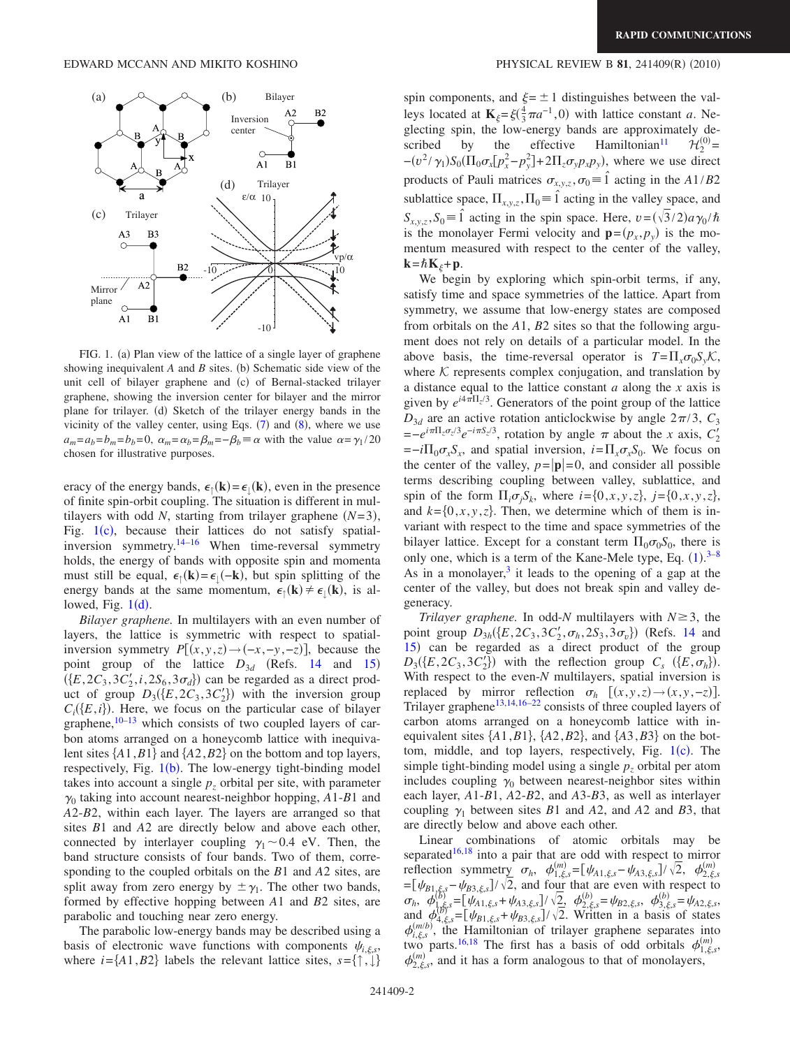<span id="page-1-0"></span>

FIG. 1. (a) Plan view of the lattice of a single layer of graphene showing inequivalent  $A$  and  $B$  sites. (b) Schematic side view of the unit cell of bilayer graphene and (c) of Bernal-stacked trilayer graphene, showing the inversion center for bilayer and the mirror plane for trilayer. (d) Sketch of the trilayer energy bands in the vicinity of the valley center, using Eqs.  $(7)$  $(7)$  $(7)$  and  $(8)$  $(8)$  $(8)$ , where we use  $a_m = a_b = b_m = b_b = 0$ ,  $\alpha_m = \alpha_b = \beta_m = -\beta_b \equiv \alpha$  with the value  $\alpha = \gamma_1 / 20$ chosen for illustrative purposes.

eracy of the energy bands,  $\epsilon_{\uparrow}(\mathbf{k}) = \epsilon_{\downarrow}(\mathbf{k})$ , even in the presence of finite spin-orbit coupling. The situation is different in multilayers with odd *N*, starting from trilayer graphene  $(N=3)$ , Fig.  $1(c)$  $1(c)$ , because their lattices do not satisfy spatial-inversion symmetry.<sup>14[–16](#page-3-9)</sup> When time-reversal symmetry holds, the energy of bands with opposite spin and momenta must still be equal,  $\epsilon_{\uparrow}(\mathbf{k}) = \epsilon_{\downarrow}(-\mathbf{k})$ , but spin splitting of the energy bands at the same momentum,  $\epsilon_{\uparrow}(\mathbf{k}) \neq \epsilon_{\downarrow}(\mathbf{k})$ , is allowed, Fig.  $1(d)$  $1(d)$ .

*Bilayer graphene.* In multilayers with an even number of layers, the lattice is symmetric with respect to spatialinversion symmetry  $P[(x, y, z) \rightarrow (-x, -y, -z)]$ , because the point group of the lattice  $D_{3d}$  (Refs. [14](#page-3-8) and [15](#page-3-10))  $(\{E, 2C_3, 3C'_2, i, 2S_6, 3\sigma_d\})$  can be regarded as a direct product of group  $D_3({E, 2C_3, 3C_2'}$  with the inversion group  $C_i(\lbrace E, i \rbrace)$ . Here, we focus on the particular case of bilayer graphene, $10-13$  $10-13$  which consists of two coupled layers of carbon atoms arranged on a honeycomb lattice with inequivalent sites  $\{A1, B1\}$  and  $\{A2, B2\}$  on the bottom and top layers, respectively, Fig. [1](#page-1-0)(b). The low-energy tight-binding model takes into account a single  $p<sub>z</sub>$  orbital per site, with parameter  $\gamma_0$  taking into account nearest-neighbor hopping,  $A1-B1$  and *A*2-*B*2, within each layer. The layers are arranged so that sites *B*1 and *A*2 are directly below and above each other, connected by interlayer coupling  $\gamma_1 \sim 0.4$  eV. Then, the band structure consists of four bands. Two of them, corresponding to the coupled orbitals on the *B*1 and *A*2 sites, are split away from zero energy by  $\pm \gamma_1$ . The other two bands, formed by effective hopping between *A*1 and *B*2 sites, are parabolic and touching near zero energy.

The parabolic low-energy bands may be described using a basis of electronic wave functions with components  $\psi_{i,\xi,s}$ , where  $i = \{A1, B2\}$  labels the relevant lattice sites,  $s = \{\uparrow, \downarrow\}$ 

## $(2010)$

spin components, and  $\xi = \pm 1$  distinguishes between the valleys located at  $\mathbf{K}_{\xi} = \xi(\frac{4}{3}\pi a^{-1}, 0)$  with lattice constant *a*. Neglecting spin, the low-energy bands are approximately described by the effective Hamiltonian<sup>11</sup>  $\mathcal{H}_2^{(0)}$ =  $-(v^2/\gamma_1)S_0(\Pi_0 \sigma_x [p_x^2-p_y^2]+2\Pi_z \sigma_y p_x p_y)$ , where we use direct products of Pauli matrices  $\sigma_{x,y,z}$ ,  $\sigma_0 \equiv \hat{1}$  acting in the *A*1/*B*2 sublattice space,  $\Pi_{x,y,z}$ ,  $\Pi_0 = \hat{1}$  acting in the valley space, and  $S_{x,y,z}$ ,  $S_0 \equiv \hat{i}$  acting in the spin space. Here,  $v = (\sqrt{3}/2)a\gamma_0/\hbar$ is the monolayer Fermi velocity and  $\mathbf{p}=(p_x, p_y)$  is the momentum measured with respect to the center of the valley,  $\mathbf{k} = \hbar \mathbf{K}_{\xi} + \mathbf{p}$ .

We begin by exploring which spin-orbit terms, if any, satisfy time and space symmetries of the lattice. Apart from symmetry, we assume that low-energy states are composed from orbitals on the *A*1, *B*2 sites so that the following argument does not rely on details of a particular model. In the above basis, the time-reversal operator is  $T = \prod_{x} \sigma_0 S_v \mathcal{K}$ , where  $K$  represents complex conjugation, and translation by a distance equal to the lattice constant *a* along the *x* axis is given by  $e^{i4\pi\Pi_z/3}$ . Generators of the point group of the lattice  $D_{3d}$  are an active rotation anticlockwise by angle  $2\pi/3$ ,  $C_3$  $=-e^{i\pi \Pi_z \sigma_z/3}e^{-i\pi S_z/3}$ , rotation by angle  $\pi$  about the *x* axis,  $C'_2$  $\vec{v} = -i\Pi_0 \sigma_x S_x$ , and spatial inversion,  $i = \Pi_x \sigma_x S_0$ . We focus on the center of the valley,  $p = |\mathbf{p}| = 0$ , and consider all possible terms describing coupling between valley, sublattice, and spin of the form  $\Pi_i \sigma_j S_k$ , where  $i = \{0, x, y, z\}$ ,  $j = \{0, x, y, z\}$ , and  $k = \{0, x, y, z\}$ . Then, we determine which of them is invariant with respect to the time and space symmetries of the bilayer lattice. Except for a constant term  $\Pi_0 \sigma_0 S_0$ , there is only one, which is a term of the Kane-Mele type, Eq.  $(1).^{3-8}$  $(1).^{3-8}$  $(1).^{3-8}$  $(1).^{3-8}$  $(1).^{3-8}$ As in a monolayer, $3$  it leads to the opening of a gap at the center of the valley, but does not break spin and valley degeneracy.

*Trilayer graphene.* In odd-*N* multilayers with  $N \geq 3$ , the point group  $D_{3h}(\{E, 2C_3, 3C'_2, \sigma_h, 2S_3, 3\sigma_v\})$  (Refs. [14](#page-3-8) and [15](#page-3-10)) can be regarded as a direct product of the group  $D_3(\lbrace E, 2C_3, 3C'_2 \rbrace)$  with the reflection group  $C_s$   $(\lbrace E, \sigma_h \rbrace)$ . With respect to the even-*N* multilayers, spatial inversion is replaced by mirror reflection  $\sigma_h$   $[(x, y, z) \rightarrow (x, y, -z)].$ Trilayer graphene<sup>13,[14,](#page-3-8)[16](#page-3-9)-22</sup> consists of three coupled layers of carbon atoms arranged on a honeycomb lattice with inequivalent sites  $\{A1, B1\}$ ,  $\{A2, B2\}$ , and  $\{A3, B3\}$  on the bottom, middle, and top layers, respectively, Fig.  $1(c)$  $1(c)$ . The simple tight-binding model using a single  $p<sub>z</sub>$  orbital per atom includes coupling  $\gamma_0$  between nearest-neighbor sites within each layer, *A*1-*B*1, *A*2-*B*2, and *A*3-*B*3, as well as interlayer coupling  $\gamma_1$  between sites *B*1 and *A*2, and *A*2 and *B*3, that are directly below and above each other.

Linear combinations of atomic orbitals may be separated $16,18$  $16,18$  into a pair that are odd with respect to mirror reflection symmetry  $\sigma_h$ ,  $\phi_{1,\xi,s}^{(m)} = [\psi_{A1,\xi,s} - \psi_{A3,\xi,s}] / \sqrt{2}$ ,  $\phi_{2,\xi,s}^{(m)} = [\psi_{B1,\xi,s} - \psi_{B3,\xi,s}] / \sqrt{2}$ , and four that are even with respect to  $\sigma_h$ ,  $\phi_{1, \xi_s}^{(b)} = [\psi_{A1, \xi_s} + \psi_{A3, \xi_s}]/\sqrt{2}$ ,  $\phi_{2, \xi_s}^{(b)} = \psi_{B2, \xi_s}$ ,  $\phi_{3, \xi_s}^{(b)} = \psi_{A2, \xi_s}$ , and  $\phi_{4,\xi,s}^{(B)} = [\psi_{B1,\xi,s} + \psi_{B3,\xi,s}] / \sqrt{2}$ . Written in a basis of states  $\phi_{i,\xi,s}^{(m/b)}$ , the Hamiltonian of trilayer graphene separates into two parts.<sup>16,[18](#page-3-13)</sup> The first has a basis of odd orbitals  $\phi_{1,\xi,s}^{(m)}$ ,  $\phi_{2,\xi,s}^{(m)}$ , and it has a form analogous to that of monolayers,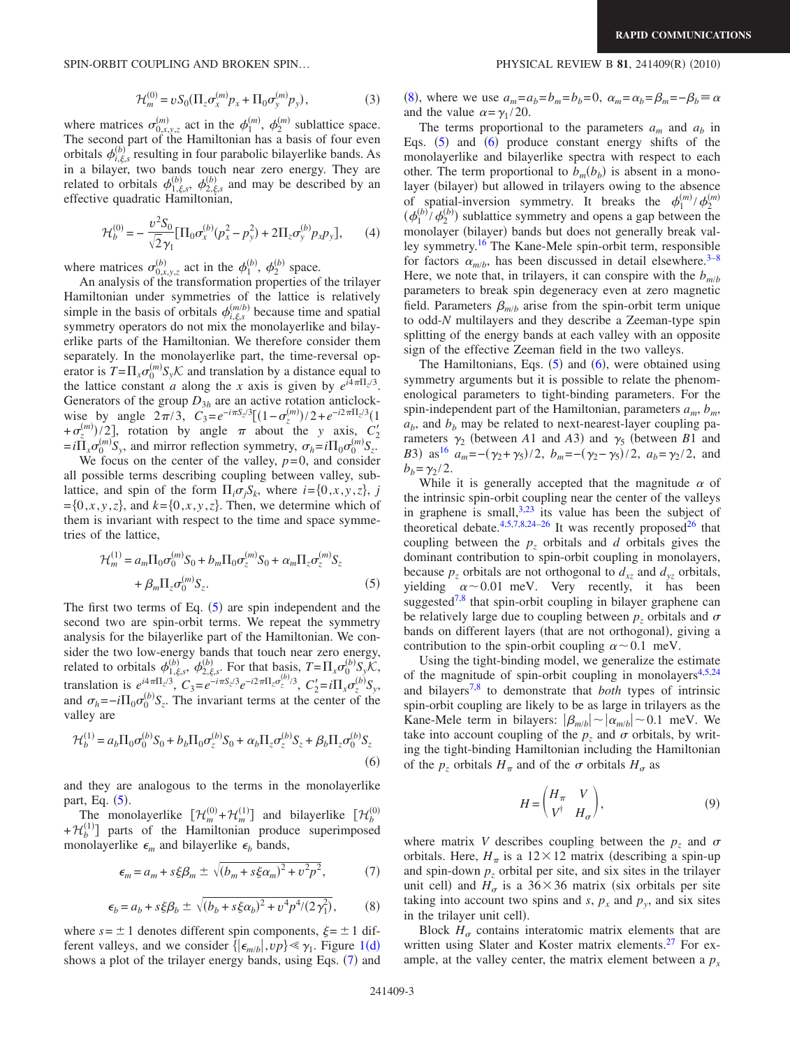SPIN-ORBIT COUPLING AND BROKEN SPIN...

$$
\mathcal{H}_m^{(0)} = v S_0 (\Pi_z \sigma_x^{(m)} p_x + \Pi_0 \sigma_y^{(m)} p_y), \tag{3}
$$

where matrices  $\sigma_{0,x,y,z}^{(m)}$  act in the  $\phi_1^{(m)}$ ,  $\phi_2^{(m)}$  sublattice space. The second part of the Hamiltonian has a basis of four even orbitals  $\phi_{i,\xi,s}^{(b)}$  resulting in four parabolic bilayerlike bands. As in a bilayer, two bands touch near zero energy. They are related to orbitals  $\phi_{1,\xi,s}^{(b)}$ ,  $\phi_{2,\xi,s}^{(b)}$  and may be described by an effective quadratic Hamiltonian,

$$
\mathcal{H}_b^{(0)} = -\frac{v^2 S_0}{\sqrt{2} \gamma_1} \left[ \Pi_0 \sigma_x^{(b)} (p_x^2 - p_y^2) + 2 \Pi_z \sigma_y^{(b)} p_x p_y \right],\tag{4}
$$

where matrices  $\sigma_{0,x,y,z}^{(b)}$  act in the  $\phi_1^{(b)}$ ,  $\phi_2^{(b)}$  space.

An analysis of the transformation properties of the trilayer Hamiltonian under symmetries of the lattice is relatively simple in the basis of orbitals  $\phi_{i,\xi,s}^{(m/b)}$  because time and spatial symmetry operators do not mix the monolayerlike and bilayerlike parts of the Hamiltonian. We therefore consider them separately. In the monolayerlike part, the time-reversal operator is  $T = \prod_{x} \sigma_0^{(m)} S_y \mathcal{K}$  and translation by a distance equal to the lattice constant *a* along the *x* axis is given by  $e^{i4\pi\Pi_z/3}$ . Generators of the group  $D_{3h}$  are an active rotation anticlockwise by angle  $2\pi/3$ ,  $C_3 = e^{-i\pi S_z/3}[(1-\sigma_z^{(m)})/2 + e^{-i2\pi \Pi_z/3}(1$  $+\sigma_z^{(m)}/2$ , rotation by angle  $\pi$  about the *y* axis,  $C_2$  $=i\tilde{\Pi}_x \sigma_0^{(m)} S_y$ , and mirror reflection symmetry,  $\sigma_h = i\Pi_0 \sigma_0^{(m)} S_z$ .

We focus on the center of the valley,  $p=0$ , and consider all possible terms describing coupling between valley, sublattice, and spin of the form  $\Pi_i \sigma_j S_k$ , where  $i = \{0, x, y, z\}$ , *j*  $=[0, x, y, z]$ , and  $k=[0, x, y, z]$ . Then, we determine which of them is invariant with respect to the time and space symmetries of the lattice,

<span id="page-2-2"></span>
$$
\mathcal{H}_m^{(1)} = a_m \Pi_0 \sigma_0^{(m)} S_0 + b_m \Pi_0 \sigma_z^{(m)} S_0 + \alpha_m \Pi_z \sigma_z^{(m)} S_z
$$
  
+  $\beta_m \Pi_z \sigma_0^{(m)} S_z$ . (5)

The first two terms of Eq.  $(5)$  $(5)$  $(5)$  are spin independent and the second two are spin-orbit terms. We repeat the symmetry analysis for the bilayerlike part of the Hamiltonian. We consider the two low-energy bands that touch near zero energy, related to orbitals  $\phi_{1,\xi,s}^{(b)}, \phi_{2,\xi,s}^{(b)}$ . For that basis,  $T = \prod_{x} \sigma_0^{(b)} S_y \widetilde{\mathcal{K}}$ , translation is  $e^{i4\pi\Pi z/3}$ ,  $C_3 = e^{-i\pi S_z/3}e^{-i2\pi\Pi_z \sigma_z^{(b)}/3}$ ,  $C_2' = i\Pi_x \sigma_z^{(b)}S_y$ , and  $\sigma_h = -i\Pi_0 \sigma_0^{(b)} S_z$ . The invariant terms at the center of the valley are

<span id="page-2-3"></span>
$$
\mathcal{H}_b^{(1)} = a_b \Pi_0 \sigma_0^{(b)} S_0 + b_b \Pi_0 \sigma_z^{(b)} S_0 + \alpha_b \Pi_z \sigma_z^{(b)} S_z + \beta_b \Pi_z \sigma_0^{(b)} S_z
$$
\n(6)

and they are analogous to the terms in the monolayerlike part, Eq.  $(5)$  $(5)$  $(5)$ .

The monolayerlike  $[\mathcal{H}_m^{(0)} + \mathcal{H}_m^{(1)}]$  and bilayerlike  $[\mathcal{H}_b^{(0)}]$  $+\mathcal{H}_{b}^{(1)}$ ] parts of the Hamiltonian produce superimposed monolayerlike  $\epsilon_m$  and bilayerlike  $\epsilon_b$  bands,

<span id="page-2-0"></span>
$$
\epsilon_m = a_m + s\xi\beta_m \pm \sqrt{(b_m + s\xi\alpha_m)^2 + v^2p^2},\tag{7}
$$

$$
\epsilon_b = a_b + s\xi\beta_b \pm \sqrt{(b_b + s\xi\alpha_b)^2 + v^4 p^4/(2\gamma_1^2)},
$$
 (8)

<span id="page-2-1"></span>where  $s = \pm 1$  denotes different spin components,  $\xi = \pm 1$  different valleys, and we consider  $\{|\epsilon_{m/b}|, vp\} \ll \gamma_1$  $\{|\epsilon_{m/b}|, vp\} \ll \gamma_1$ . Figure 1(d) shows a plot of the trilayer energy bands, using Eqs. ([7](#page-2-0)) and

## $(2010)$

([8](#page-2-1)), where we use  $a_m = a_b = b_m = b_b = 0$ ,  $\alpha_m = \alpha_b = \beta_m = -\beta_b = \alpha$ and the value  $\alpha = \gamma_1 / 20$ .

The terms proportional to the parameters  $a_m$  and  $a_b$  in Eqs.  $(5)$  $(5)$  $(5)$  and  $(6)$  $(6)$  $(6)$  produce constant energy shifts of the monolayerlike and bilayerlike spectra with respect to each other. The term proportional to  $b_m(b_b)$  is absent in a monolayer (bilayer) but allowed in trilayers owing to the absence of spatial-inversion symmetry. It breaks the  $\phi_1^{(m)}/\phi_2^{(m)}$  $(\phi_1^{(b)}\phi_2^{(b)})$  sublattice symmetry and opens a gap between the monolayer (bilayer) bands but does not generally break valley symmetry[.16](#page-3-9) The Kane-Mele spin-orbit term, responsible for factors  $\alpha_{m/b}$ , has been discussed in detail elsewhere.<sup>3–[8](#page-3-3)</sup> Here, we note that, in trilayers, it can conspire with the  $b_{m/b}$ parameters to break spin degeneracy even at zero magnetic field. Parameters  $\beta_{m/b}$  arise from the spin-orbit term unique to odd-*N* multilayers and they describe a Zeeman-type spin splitting of the energy bands at each valley with an opposite sign of the effective Zeeman field in the two valleys.

The Hamiltonians, Eqs.  $(5)$  $(5)$  $(5)$  and  $(6)$  $(6)$  $(6)$ , were obtained using symmetry arguments but it is possible to relate the phenomenological parameters to tight-binding parameters. For the spin-independent part of the Hamiltonian, parameters  $a_m$ ,  $b_m$ ,  $a<sub>b</sub>$ , and  $b<sub>b</sub>$  may be related to next-nearest-layer coupling parameters  $\gamma_2$  (between *A*1 and *A*3) and  $\gamma_5$  (between *B*1 and *B*3) as<sup>16</sup>  $a_m = -(\gamma_2 + \gamma_5)/2$ ,  $b_m = -(\gamma_2 - \gamma_5)/2$ ,  $a_b = \gamma_2/2$ , and  $b<sub>b</sub> = \gamma_2 / 2$ .

While it is generally accepted that the magnitude  $\alpha$  of the intrinsic spin-orbit coupling near the center of the valleys in graphene is small,  $3,23$  $3,23$  its value has been the subject of theoretical debate.<sup>4,[5](#page-3-4)[,7](#page-3-16)[,8](#page-3-3)[,24](#page-3-17)-26</sup> It was recently proposed<sup>26</sup> that coupling between the  $p<sub>z</sub>$  orbitals and *d* orbitals gives the dominant contribution to spin-orbit coupling in monolayers, because  $p_z$  orbitals are not orthogonal to  $d_{xz}$  and  $d_{yz}$  orbitals, yielding  $\alpha \sim 0.01$  meV. Very recently, it has been suggested<sup>7[,8](#page-3-3)</sup> that spin-orbit coupling in bilayer graphene can be relatively large due to coupling between  $p<sub>z</sub>$  orbitals and  $\sigma$ bands on different layers (that are not orthogonal), giving a contribution to the spin-orbit coupling  $\alpha \sim 0.1$  meV.

Using the tight-binding model, we generalize the estimate of the magnitude of spin-orbit coupling in monolayers<sup>4[,5](#page-3-4)[,24](#page-3-17)</sup> and bilayer[s7](#page-3-16)[,8](#page-3-3) to demonstrate that *both* types of intrinsic spin-orbit coupling are likely to be as large in trilayers as the Kane-Mele term in bilayers:  $|\beta_{m/b}| \sim |\alpha_{m/b}| \sim 0.1$  meV. We take into account coupling of the  $p_z$  and  $\sigma$  orbitals, by writing the tight-binding Hamiltonian including the Hamiltonian of the  $p_z$  orbitals  $H_\pi$  and of the  $\sigma$  orbitals  $H_\sigma$  as

$$
H = \begin{pmatrix} H_{\pi} & V \\ V^{\dagger} & H_{\sigma} \end{pmatrix}, \tag{9}
$$

<span id="page-2-4"></span>where matrix *V* describes coupling between the  $p<sub>z</sub>$  and  $\sigma$ orbitals. Here,  $H_{\pi}$  is a 12×12 matrix (describing a spin-up and spin-down  $p<sub>z</sub>$  orbital per site, and six sites in the trilayer unit cell) and  $H_{\sigma}$  is a 36×36 matrix (six orbitals per site taking into account two spins and  $s$ ,  $p_x$  and  $p_y$ , and six sites in the trilayer unit cell).

Block  $H_{\sigma}$  contains interatomic matrix elements that are written using Slater and Koster matrix elements.<sup>27</sup> For example, at the valley center, the matrix element between a  $p_x$